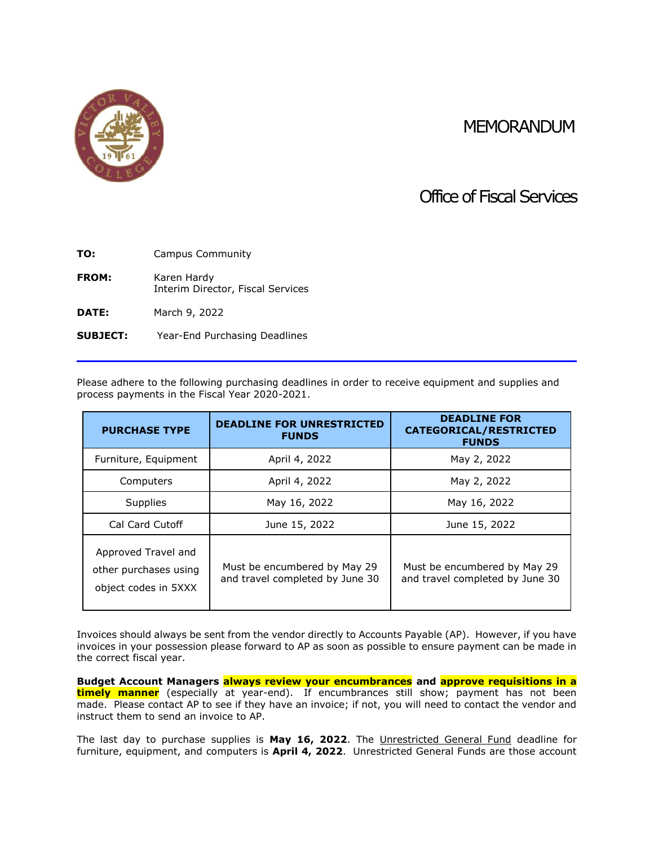## MEMORANDUM



## Office of Fiscal Services

| TO:          | Campus Community                                 |  |
|--------------|--------------------------------------------------|--|
| FROM:        | Karen Hardy<br>Interim Director, Fiscal Services |  |
| <b>DATE:</b> | March 9, 2022                                    |  |

**SUBJECT:** Year-End Purchasing Deadlines

Please adhere to the following purchasing deadlines in order to receive equipment and supplies and process payments in the Fiscal Year 2020-2021.

| <b>PURCHASE TYPE</b>                                                 | <b>DEADLINE FOR UNRESTRICTED</b><br><b>FUNDS</b>                | <b>DEADLINE FOR</b><br><b>CATEGORICAL/RESTRICTED</b><br><b>FUNDS</b> |
|----------------------------------------------------------------------|-----------------------------------------------------------------|----------------------------------------------------------------------|
| Furniture, Equipment                                                 | April 4, 2022                                                   | May 2, 2022                                                          |
| Computers                                                            | April 4, 2022                                                   | May 2, 2022                                                          |
| <b>Supplies</b>                                                      | May 16, 2022                                                    | May 16, 2022                                                         |
| Cal Card Cutoff                                                      | June 15, 2022                                                   | June 15, 2022                                                        |
| Approved Travel and<br>other purchases using<br>object codes in 5XXX | Must be encumbered by May 29<br>and travel completed by June 30 | Must be encumbered by May 29<br>and travel completed by June 30      |

Invoices should always be sent from the vendor directly to Accounts Payable (AP). However, if you have invoices in your possession please forward to AP as soon as possible to ensure payment can be made in the correct fiscal year.

**Budget Account Managers always review your encumbrances and approve requisitions in a timely manner** (especially at year-end). If encumbrances still show; payment has not been made. Please contact AP to see if they have an invoice; if not, you will need to contact the vendor and instruct them to send an invoice to AP.

The last day to purchase supplies is **May 16, 2022**. The Unrestricted General Fund deadline for furniture, equipment, and computers is **April 4, 2022**. Unrestricted General Funds are those account